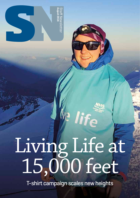

# Living Life at 15,000 feet

life

T-shirt campaign scales new heights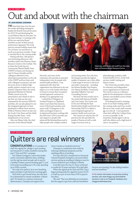# ut and about with the chairman

#### BY JOHN BROWN, CHAIRMAN

I'VE been kept busy over the past few weeks attending meetings to finalise the Board's Annual Accounts for 2015/16 and developing the Local Delivery Plan for this year. I've also been having 1:1 meetings with all the non-executive Board members as part of their annual performance appraisal. This work and my summer holiday meant that I've not been 'out and about' as much as in previous months. I hope to remedy that in the coming weeks.

Having said that, I did spend a very interesting afternoon with frontline staff in the Florence Street Resource Centre in the Gorbals. This is where the South Sector's Community Mental Health Team (CMHT) is based, and during my visit Dr Pavan Srireddy and his colleagues delivered a very informative presentation on the role of the CMHT and how they work with colleagues in primary care and the acute sector to deliver highquality, patient-centred care to our patients. Maureen Watt, the newly appointed Minister for Mental Health, joined us for the presentation and I think it's fair to say that not only was she very impressed by the services NHSGGC provides, she was also pleased to see the integrated approach we have developed to deliver those services. While at Florence Street we also met the South Crisis Team and the Adult Eating Disorder Team – both integral parts of our service.

I also met Elaine Little, the chief executive of the Mental Health



Network, and some of the volunteers who provide an essential independent voice for people with mental health problems. I was impressed with what this organisation has delivered so far and expect us to work closely with them in future to ensure that our patient centred approach continues to develop in an appropriate way.

I visited the St Margaret of Scotland Hospice in Clydebank where I met Sister Rita Dawson, some of the board members and senior staff. St Margaret's is the oldest and largest hospice in Scotland and has been working with the NHS since 1950 to provide care and support to people with advanced life-limiting illness and to older people with complex medical

and nursing needs. Not only does the Hospice provide the highest quality of inpatient care it also offers a wide range of services to the local and wider community – including the Edwina Bradley Day Hospice, Out Patient Facilities, Community Specialist Palliative Care and Counselling Services.

My final visit this month was to the newly-built Eastwood Health and Care Centre. The Centre cost £15m and will help the East Renfrewshire Health and Social Care Partnership (HSCP) to deliver a more integrated approach to patients' health and social care.

The Centre not only has five GP practices but also provides the people of Eastwood with a wide range of services such as

physiotherapy, podiatry, adult mental health service, social work services, health visiting and district nurses.

The Centre also provides a base for voluntary and independent sector organisations in Eastwood. The Centre is seen as a reference guide for the development of future primary care facilities across Greater Glasgow and Clyde.

I'm looking forward to meeting more of our hard-working staff in the coming weeks and if you would like me to visit, email: staff.comms@ ggc.scot.nhs.uk I can't guarantee when that will be but I will get there as soon as possible. In the meantime, thanks again to all our staff who deliver such a high level of care to our patients.

#### STOP SMOKING CAMPAIGN

### Quitters are real winners

CONGRATULATIONS to 15 members of staff who signed the pledge to quit smoking and remained 12 weeks smokefree during this year's "Quit and Win" campaign.

For Graham Livingston, nurse team leader, north community addiction team, stubbing out the cigs has saved enough cash to pay for a holiday! Graham started smoking aged 11 and at his peak was puffing up to 30 a day, spending up to £300 a month.

Not only is he quids in, he is now breathing easier and plans to get back into running again.

He'd tried to quit several times, but this time he is determined to remain smokefree. Graham said: "It's thanks to a mixture of personal determination, Champix and support from

Gerry Crawley at Smokefree Services."

Champix is a medication that works by reducing withdrawal symptoms and the satisfying effects of smoking.

For Tracy McColl, a receptionist in Gartnavel General Hospital's emergency care and medical services, giving up smoking is helping to save for a home makeover and a holiday to Florida.

A smoker since she was 15, Tracy continued to smoke for 32 years and had a 30-a-day habit.

When she signed up for Quit and Win, Tracy began putting aside her cigarette money of £70 to build up a pot of more than £700 to pay for her plans.

She said: "That was definitely my motivation. But the support I got from staff and Smokefree



Services was amazing. I'm also feeling healthier and less breathless."

**>>** For further information on local stop smoking services, visit: www.nhsggc.org.uk/smokefree services or visit us on Facebook: facebook.com/ nhsggcsmokefreeservices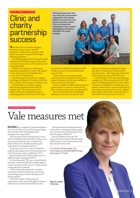#### BREAST SURGERY AFTERCARE

### Clinic and charity **partnérship SUCCESS**

IN the first trial of its kind in Glasgow, the breast surgery team at Stobhill Hospital is working with a charity to offer follow-up support to patients discharged following treatment.

The Stobhill Hospital Transforming Care After Treatment (TCAT) Mammogram Clinic project is run by the clinical team, and funded by cancer charity Macmillan.

It offers a new approach to following up patients by putting them in touch with support in the community and to hopefully reduce return visits to hospital clinics.

A patient group has been set up to support the design and delivery of the project which has led to a 33 per cent decrease in consultant visits.

Mr Keith Ogston, consultant surgeon, describing the benefits for both staff and patients, said: "The development of this project has been an important first step in supporting patients and clinical staff to move The breast surgery team. Back row: Linsey Leen (superintendant radiographer), Mary McGlade (CNS) Lena Oswald (CNS), Keith Ogston (consultant surgeon) Front row: Michelle Kane (radiographer), Claire Crawford (radiographer), Anna Morton (Macmillan TCAT project



away from the traditional medicalised model of follow-up care to a more holistic personcentred model.

"Improvements in capturing patients concerns has led to strong links to third sector support for patients that are now available on site in conjunction with clinics.

Patients complete a holistic needs assessment questionnaire to record any concerns for the clinic and breast cancer nurse specialists (CNS).

The nurses then develop an individually tailored post-treatment care plan for their

patient covering issues ranging from fatigue, side effects of medication, mental health or financial worries – with support provided either by the health care team or the third sector.

Gordon McLean, TCAT national programme manager, said: "We are very proud of our TCAT project at Stobhill Hospital Breast Cancer Clinic. Our project at Stobhill aims to make sure every patient is offered all the care they need based on an in-depth assessment of their needs, whether that's regular contact with a cancer specialist or help with the emotional impact of cancer."

#### RECOMMENDATIONS COMPLETED

# Vale measures met

NHSGGC has completed 62 recommendations set out in the Vale of Leven (VoL) Inquiry Report, with a further three being implemented throughout the organisation

This was announced in the final report of our Short Life Working Group (SLWG), which was set up in January this year, and co-authored by medical director Dr Jennifer Armstrong and nurse director Dr Margaret McGuire.

The group was set up to review in detail the progress made against each recommendation set out by the inquiry report, published in 2014.

Board members were told that there were "no significant gaps requiring attention".

Dr Armstrong said: "This was a comprehensive and major review with all staff working together to draw up policies which are now in place and are routine practice for patients.

"Staff worked extremely hard to introduce new systems which included early monitoring and warning systems and the development of quicker updates."

Dr McGuire added: "Monitoring and improvement will continue through the relevant professional or Directorate/Board structures.

"All improvements and developments are focused on ensuring the best possible care and outcomes for the people we look after throughout NHSGGC.

Recommendations from the VoL inquiry have been shared with all Scottish health boards to ensure that lessons have been learned system wide.

**>>** To read the full Board paper, visit: www.nhsggc.org.uk/media/238234/nhsggc\_ board\_paper\_16-35.pdf

Right: Dr Jennifer Armstrong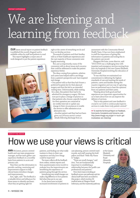# We are listening and learning from feedback

OUR latest annual report on patient feedback is published this month (August) and is available online for staff and patients to read. This report highlights a major area of work designed to put the patient experience



right at the centre of everything we do and how we develop services.

Thousands of patients and their families told us of their healthcare experiences and the vast majority of those comments were hugely reassuring.

But, just as importantly, many of the comments told us about issues and concerns that could be addressed to make the patient experience better.

The ideas coming from patients, relatives and carers have helped staff to see things from a patient's perspective and have inspired real change.

• One patient told us that they had chosen a preferred hospital site for their planned surgery and that this led to an extended waiting time. Unfortunately, while waiting for a date, this patient then had to be admitted for emergency surgery. We have now put in place a change of practice so that patients who choose a specific hospital for their operation are contacted at six-weekly intervals to update any change in their circumstances to enable the service to offer admission at an alternative site.

• Another patient said they had not been given out-of-hours service contact details following discharge from an

assessment with the Community Mental Health Team. It has now been emphasised to staff the importance of giving this information to patients and noting this in the patient-care record.

Margaret McGuire, nurse director, said: "2015/2016 was a challenging time with inpatient and emergency services moving from four city hospitals to the new Queen Elizabeth University Hospital involving the relocation of 10,000 staff.

"It was vital that we maintained our commitment to delivering the highest standards of care and meeting the needs of patients, carers and families during this massive migration and one way of capturing how we performed was to hear the opinions from our patients and their carers.

"Hearing about both good and bad experiences are important opportunities for us to learn about how we can improve the delivery of services.

"This is why patient and carer feedback is crucial in our work to continuously improve services to make them truly patient-centred." 

**>>** To read the full Annual Report on Feedback, Comments, Complaints and Concerns, visit: http://www.nhsggc.org.uk/get-in-touch-getinvolved/we-are-listening/

#### IDENTIFYING NEEDS

## How we use your views is critical

ANN McLinton, person-centred health and care team programme manager, and her team gather care experience feedback on a monthly basis from patients in acute and primary care.

They then use this information to provide coaching, mentoring and improvement support to help clinical teams introduce changes and improvements.

Ann, right, said: "The feedback is a valuable driver and influencer for these teams to identify and learn what they are getting right for

patients, and finding out what really matters to them in their care experience and also how things could be improved."

The team collects all the feedback from online, written reports and from questionnaires every month to evaluate how the improvements are benefitting the experience of patients going through the service.

Introducing very small changes can make a big difference to how patients feel when they are in our care. So far these have included

increased involvement of patients in

care planning, person-centred ward rounds, and staff wearing the bold yellow and black "Hello My Name Is" badges.

"These are small changes," said Ann, "but are fundamentally important to establishing a relationship between the health care professional and patients."

Now Ann's team is looking at feedback across care pathways and six clinical staff have been seconded to this project, which involves 30 medical areas at Glasgow Royal Infirmary, and the maternity pathway at the Queen Elizabeth University and Royal Alexandra Hospitals.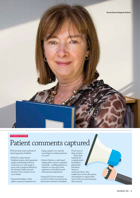#### FEEDBACK METHODS

### Patient comments captured

WE have three main methods of capturing patient feedback:

- NHSGGC online Patient Feedback system which generates quality and detailed real-time comments on a wide range of issues and is analysed directly by the relevant healthcare team involved. This is hosted on our own website
- Universal Feedback, which reflects a person's experience of

being a patient on a ward by answering two simple questions on a card

• Patient Opinion, a web-based independent resource marketed nationally – enabling patients or relatives to write about their experiences of healthcare and their personal experiences.

During 2015/16 we received a total of 10,402 comments from these three methods of feedback,

87 per cent of them positive. These three methods are complemented by feedback gathered by individual teams in wards and clinics. This enables face-to-face discussions with patients to capture their views of the care and treatment they received.

7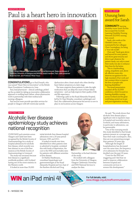INNOVATION AWARD

### Paul is a heart hero in innovation



CONGRATULATIONS go to Paul Forsyth, who was named "Heart Hero in Innovation" at the British Heart Foundation Conference in June.

Paul, lead pharmacist – clinical cardiology, picked up the accolade for taking an innovative collaborative approach to tackling heart failure, where pharmacists work in partnership with their medical and nursing colleagues.

Paul and his team provide specialist services for people in Glasgow with left ventricular systolic

dysfunction after a heart attack who often develop heart failure symptoms at a later stage.

The team supports these patients to take the right medication that can delay the onset of heart failure symptoms – and can help improve their quality of life and life expectancy.

Following a pilot at the Royal Alexandra Hospital, led by Dr Clare Murphy, consultant cardiologist and Paul, this collaborative pharmacist-led service is now in place in six locations across Glasgow.

### NURSING AWARD

### Unsung hero award for Sarah

**COMMUNITY** learning disability nurse Sarah Shovlin has scooped the Scottish Learning Disability Nursing Network (SLDNN) unsung hero award.

Sarah, who works at the Glenkirk Centre, was nominated by her colleague Chris Cunningham, for being a "true role model".

Chris said: "Sarah goes above and beyond for every patient and shows great tenacity and drive to get whatever the patient needs, not only to meet their needs, but also to enhance their lives for the better.

"She is a hardworking, caring, empathetic and, above all, effective nurse who deserves recognition for the high standard of her work and her constant drive to improve the lives of people with learning disabilities."

The award presentation rounded off the SLDNN conference, which focused on learning disability nursing across Scotland and the great work being carried out in pre and post-registration nursing.

ABSTRACT AWARD

### Alcoholic liver disease epidemiology study achieves national recognition

CLINICIANS and scientists across Glasgow and Clyde have been recognised by the British Society of Gastroenterology for a study on hospital admissions for alcoholic liver disease, which recently won best abstract in one of the liver sessions at the British Society of Gastroenterology in Liverpool.

The study was necessary because liver disease is a significant worldwide problem, with Scotland having one of the worst statistics in the Western world.

It looked at more than 35,000

initial alcoholic liver disease hospital admissions over a 20-year period between 1991 and 2011.

It looked at trends over time, identified how often patients were re-admitted to hospital, correlated this with levels of deprivation, the cost to the NHS and mortality rates for patients with different severities of liver disease.

Dr Mathis Heydtmann, consultant hepatologist and gastroenterologist at the Royal Alexandra Hospital and vice chair of the Renfrew Alcohol and Drug



Partnership, is the lead clinician of the study.

He worked with colleagues from the University of Glasgow, Glasgow Caledonian University and NHS National Services to analyse the data.

He said: "The study shows that alcoholic liver disease plays a significant role in inpatient stays in hospital and mortality rates in Scotland, and many admissions, in particular re-admissions, can be preventable.

"One of the worrying trends this study identified is that female patients present at a younger age than their male counterparts. Also, they are now presenting younger than patients 20 years ago.

"Although the length of hospitalisations has decreased over the same time, the frequency of re-admission for females has doubled over the past 20 years.

"Costs for the NHS are staggering and I feel that we need to improve collaboration between hospital and community services to reverse this development."

**WIN** an iPad mini 4! **WIN** an iPad mini 4!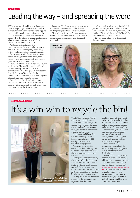### Leading the way – and spreading the word

**TWO** of our speech and language therapists have developed a groundbreaking approach to train staff in multidisciplinary teams to support patients with complex communication needs.

Laura Renfrew and Janet Scott will present their work at the international Augmentative and Alternative Communication (AAC) Society conference in Toronto this month.

AAC offers different methods of communication with patients who struggle to speak, and can include anything from using pictures and gestures to computer technology.

People may use AAC if they have problems communicating as a result of a stroke, brain injury, or have motor neurone disease, cerebral palsy, autism or other conditions.

Laura works for the south sector rehabilitation service in the Glasgow City Health and Social Care Partnership (HSCP), and Janet is a consultant speech and language therapist at the Scottish Centre for Technology for the Communication Impaired (SCTCI) on the Queen Elizabeth University Hospital campus.

Janet developed the learning framework to support staff develop the skills to respond to patients with communication needs and Laura's team were among the first to adopt it.

Laura said: "Staff have reported an increase in confidence, awareness and skill levels when working with patients who use or may need AAC.

"This will benefit patients' engagement with rehab staff who will be able to support them to communicate and therefore help them reach their goals."



Staff who took part in the training included physiotherapists, pharmacy technicians and admin workers. The framework, Informing and Profiling AAC Knowledge and Skills (IPAACKS) is the only one of its kind in the UK.

It is now being rolled out to throughout the organisation.



#### MONEY-SAVING INITIATIVE

# It's a win-win to recycle the bin!



THERE'S an old saying: "Where there's muck there's brass"…

Now one of our colleagues has created a new twist on the same theme by identifying a moneysaving scheme from bins that are destined for the dump.

Purchasing lead Elaine Gray had been challenged to try to identify ways of saving NHS cash by looking at better utilisation of equipment.

"I discovered we had 300 dented, scratched and rusty sack holder bins from decommissioned sites that were destined for the tip," said Elaine.

During the course of her work, she met with Scottish Supported Business Sector company Haven Protective Technology Solutions and took the initiative to ask director Jamie Lawson if there was anything he could do to bring the bins back to serviceable condition.

Stirling-based Haven, where the majority of the workforce has a registered disability, swiftly

identified a cost-efficient way of giving the bins a total refurb that would put them back in business and save waste disposal charges – and the cost of buying new bins.

Now the damaged sack holder bins from our sites have been refurbished and are back in service, saving £18,600 against buying replacements and also avoiding waste charges.

And when national procurement heard about the initiative, they were so impressed they decided to roll it out Scotland wide.

Elaine added: "To me, it was a no brainer. Now we are looking at taking the same approach with old chairs, bed tables and beds – in fact, anything we can upcycle."

**>>** Do you have an idea that could help reduce waste and save the NHS money? Let us know at staffnewsletter@ggc.scot.nhs.uk and we'll pass on your ideas to our colleagues in Procurement.